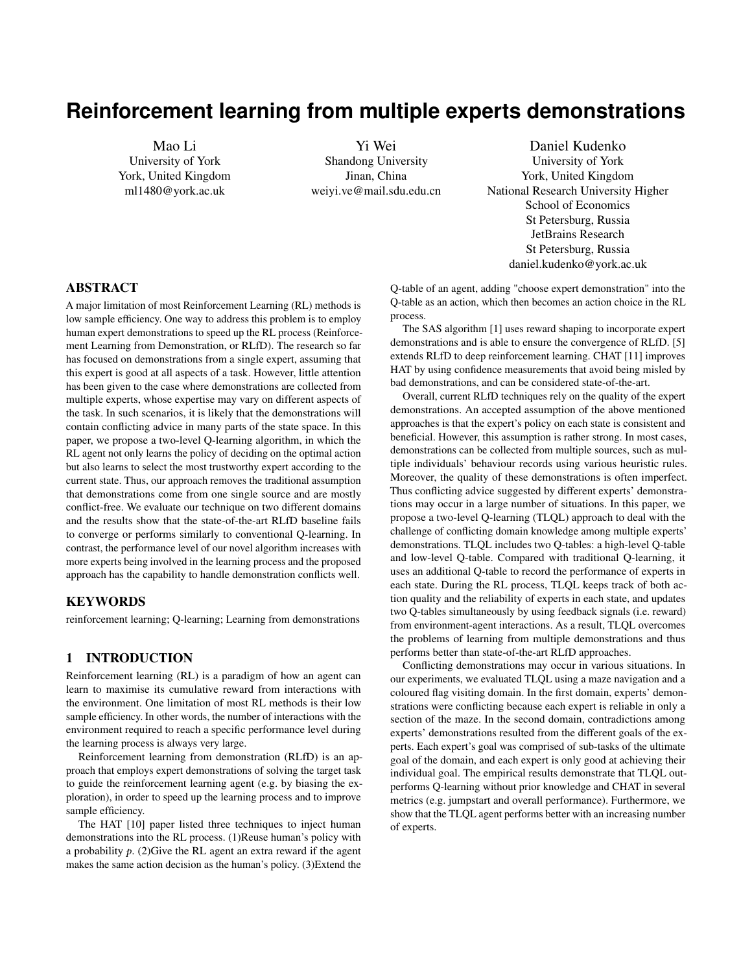# **Reinforcement learning from multiple experts demonstrations**

Mao Li University of York York, United Kingdom ml1480@york.ac.uk

Yi Wei Shandong University Jinan, China weiyi.ve@mail.sdu.edu.cn

Daniel Kudenko University of York York, United Kingdom National Research University Higher School of Economics St Petersburg, Russia JetBrains Research St Petersburg, Russia daniel.kudenko@york.ac.uk

# ABSTRACT

A major limitation of most Reinforcement Learning (RL) methods is low sample efficiency. One way to address this problem is to employ human expert demonstrations to speed up the RL process (Reinforcement Learning from Demonstration, or RLfD). The research so far has focused on demonstrations from a single expert, assuming that this expert is good at all aspects of a task. However, little attention has been given to the case where demonstrations are collected from multiple experts, whose expertise may vary on different aspects of the task. In such scenarios, it is likely that the demonstrations will contain conflicting advice in many parts of the state space. In this paper, we propose a two-level Q-learning algorithm, in which the RL agent not only learns the policy of deciding on the optimal action but also learns to select the most trustworthy expert according to the current state. Thus, our approach removes the traditional assumption that demonstrations come from one single source and are mostly conflict-free. We evaluate our technique on two different domains and the results show that the state-of-the-art RLfD baseline fails to converge or performs similarly to conventional Q-learning. In contrast, the performance level of our novel algorithm increases with more experts being involved in the learning process and the proposed approach has the capability to handle demonstration conflicts well.

## **KEYWORDS**

reinforcement learning; Q-learning; Learning from demonstrations

## 1 INTRODUCTION

Reinforcement learning (RL) is a paradigm of how an agent can learn to maximise its cumulative reward from interactions with the environment. One limitation of most RL methods is their low sample efficiency. In other words, the number of interactions with the environment required to reach a specific performance level during the learning process is always very large.

Reinforcement learning from demonstration (RLfD) is an approach that employs expert demonstrations of solving the target task to guide the reinforcement learning agent (e.g. by biasing the exploration), in order to speed up the learning process and to improve sample efficiency.

The HAT [\[10\]](#page-5-0) paper listed three techniques to inject human demonstrations into the RL process. (1)Reuse human's policy with a probability  $p$ . (2) Give the RL agent an extra reward if the agent makes the same action decision as the human's policy. (3)Extend the

Q-table of an agent, adding "choose expert demonstration" into the Q-table as an action, which then becomes an action choice in the RL process.

The SAS algorithm [\[1\]](#page-5-1) uses reward shaping to incorporate expert demonstrations and is able to ensure the convergence of RLfD. [\[5\]](#page-5-2) extends RLfD to deep reinforcement learning. CHAT [\[11\]](#page-5-3) improves HAT by using confidence measurements that avoid being misled by bad demonstrations, and can be considered state-of-the-art.

Overall, current RLfD techniques rely on the quality of the expert demonstrations. An accepted assumption of the above mentioned approaches is that the expert's policy on each state is consistent and beneficial. However, this assumption is rather strong. In most cases, demonstrations can be collected from multiple sources, such as multiple individuals' behaviour records using various heuristic rules. Moreover, the quality of these demonstrations is often imperfect. Thus conflicting advice suggested by different experts' demonstrations may occur in a large number of situations. In this paper, we propose a two-level Q-learning (TLQL) approach to deal with the challenge of conflicting domain knowledge among multiple experts' demonstrations. TLQL includes two Q-tables: a high-level Q-table and low-level Q-table. Compared with traditional Q-learning, it uses an additional Q-table to record the performance of experts in each state. During the RL process, TLQL keeps track of both action quality and the reliability of experts in each state, and updates two Q-tables simultaneously by using feedback signals (i.e. reward) from environment-agent interactions. As a result, TLQL overcomes the problems of learning from multiple demonstrations and thus performs better than state-of-the-art RLfD approaches.

Conflicting demonstrations may occur in various situations. In our experiments, we evaluated TLQL using a maze navigation and a coloured flag visiting domain. In the first domain, experts' demonstrations were conflicting because each expert is reliable in only a section of the maze. In the second domain, contradictions among experts' demonstrations resulted from the different goals of the experts. Each expert's goal was comprised of sub-tasks of the ultimate goal of the domain, and each expert is only good at achieving their individual goal. The empirical results demonstrate that TLQL outperforms Q-learning without prior knowledge and CHAT in several metrics (e.g. jumpstart and overall performance). Furthermore, we show that the TLQL agent performs better with an increasing number of experts.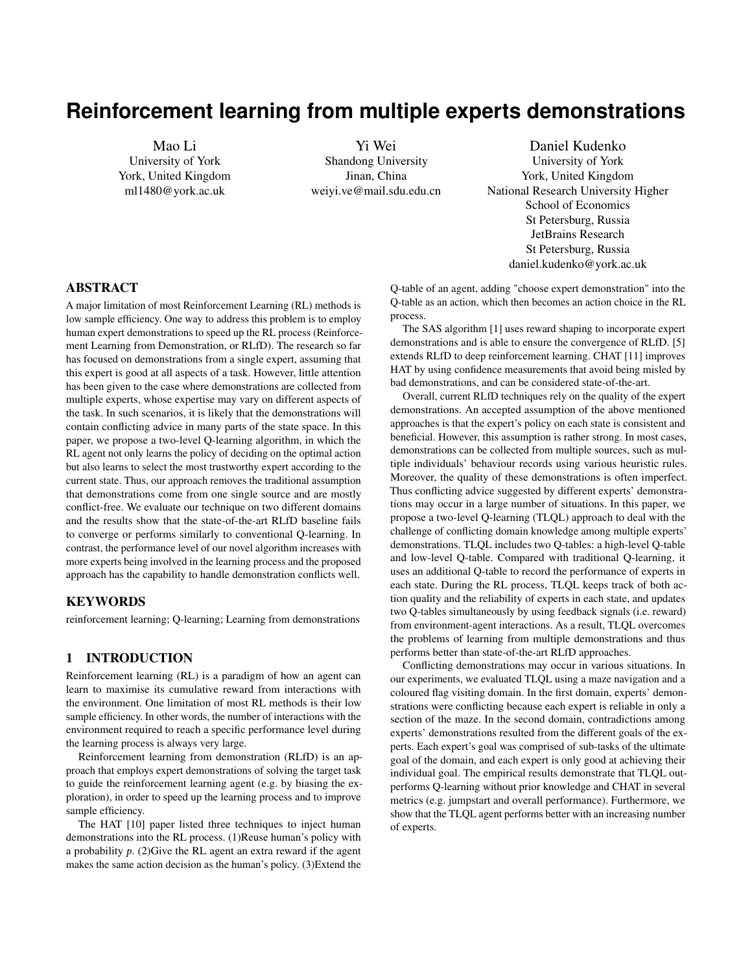## 2 PRELIMINARIES

#### 2.1 Reinforcement learning

Reinforcement learning (RL) is a paradigm to compute an optimal decision sequence to maximise the cumulative reward in Markov decision processes (MDPs)[\[9\]](#page-5-4). An MDP is composed of five parts, noted as  $hS$ ;  $A$ ;  $T$ ;  $R$ ;  $\gamma$  i: S is the set of states, each state representing a snapshot of the environment at a given time; A is the set of all actions that an agent can execute; T is the transition function indicating the probability of state s changing to state s' via action a. R is the reward function which denotes the reward (a positive number) or punishment (a negative number) signal for each agent-environment interaction;  $\gamma$  is the discount factor balancing short-term and long-term gains.

An RL agent observes a state from the environment and makes a decision based on the state. It will then receive a numerical reward signal, and the current state of the environment will be transitioned to another state. This process, named agent-environment interaction, generates a sample  $\frac{h_t}{a_t}$ ;  $\frac{a_t}{r_t}$ ;  $s_{t+1}$  at time step t. The RL agent uses<br>O-learning to undate the O-value  $O^{\parallel}_{\text{sat}}$ ;  $a_t$ <sup>0</sup>, which is an estimate of Q-learning to update the Q-value  $Q^1s_t$ ;  $a_t^0$ , which is an estimate of the expected discounted cumulative reward when executing action the expected discounted cumulative reward when executing action  $a_t$  in state  $s_t$  and then following the optimal policy.<br>In this paper, we focus on O-learning[12], a mod

In this paper, we focus on Q-learning[\[12\]](#page-5-5), a model-free RL technique. Q–learning updates the Q-function based on the TD error between the estimated Q-value and the current experience sample and the estimated predicted Q-value of next state. For each sample, the algorithm updates Q-value as follows:

$$
Q^1s
$$
;  $a^0$   $Q^1s$ ;  $a^0 + \alpha^1R + \gamma \max_{a^0} Q^1s^0$ ;  $a^{00}$   $Q^1s$ ;  $a^{00}$ 

# 2.2 Reinforcement Learning from Demonstration

In the RL process, the reward signal is often sparse and the feedback based on an episode is frequently delayed. In addition, the "curse of dimensionality" is an issue of large state spaces. As a result, the sample complexity of Q-learning is fairly high. Therefore, improving the sample efficiency, i.e. decreasing the number of experience samples necessary to learn the optimal policy, is essential. RL from Demonstration (RLfD) is an approach that aims at improving Q-learning's efficiency by incorporating expert demonstrations. In RLfD the RL agent utilises the reward signal from the environment as a ground truth and applies demonstration trajectories as heuristic suggestions to bias the exploration of the state space.

Early research of RLfD includes [\[8\]](#page-5-6) using demonstrations to initialise Q-values to speed up the Q-learning process. [\[10\]](#page-5-0) proposed human-agent transfer (HAT) to transmit human knowledge to an RL agent. HAT extracts demonstration's information via a classifier model such as a decision tree. The demonstration information is then integrated into the RL process. [\[10\]](#page-5-0) lists three methods to inject human knowledge into RL process: value bonusextra action and probabilistic policy reuse. The Value Bonus approach gives the RL agent an extra reward when the agent makes the same action decision as the classifier. However, changing the reward directly may cause Qlearning to lose its convergence guarantees [\[7\]](#page-5-7). Brys et al. proposed the algorithm of Similarity Based Shaping (SBS) [\[1\]](#page-5-1) to deal with this problem by employing potential-based reward shaping [\[13\]](#page-5-8)[\[2\]](#page-5-9)

into the value bonus approach. The SBS algorithm adopts the stateaction Gaussian distance as a potential function to shape the reward function, which maintains the theoretical convergence guarantees.

In real world applications, demonstrations are usually from different experts and may conflict with each other, for example as a result of low-quality demonstrations. If we directly use SBS and ignore the emerging conflicts, SBS is not able to learn in scenarios, where the demonstrations contradict each other in a large proportion of states, as will be demonstrated later in the experiments section.

Our novel method can deal with conflicts in the demonstrations by learning a trust value of experts in each state. We employ a separate Q-table to maintain the value of <sup>h</sup>state; expertsi. The RL agent itself is also represented in the expert Q-table. Therefore, when the RL agent learns enough about the environment and surpasses the performance of other experts, it would stop using the information coming from demonstrations, and converge to the optimal policy in the same way as basic Q-learning.

## 2.3 Other Related Work

Hierarchical reinforcement learning (HRL) is another approach to deal with low sample efficiency of RL. HRL approaches such as HTD [\[6\]](#page-5-10) and MAXQ [\[3\]](#page-5-11) employ action abstractions and require the programmer to divide the task into sub-tasks. Consequently, the agent could learn polices on different levels of abstractions. A major difference between our proposed algorithm and hierarchical RL is that our approach focuses on learning trust values for different knowledge sources in different states and does not require to manually define abstractions.

Probabilistic policy reuse (PPR) [\[4\]](#page-5-12) deals with low sample efficiency of RL by reusing sub-optimal policies to bias the exploration. PPR does this by reusing the action from the policy with the maximum performance. PRQ [\[4\]](#page-5-12) applies the softmax exploration strategy to select the respective policy. Unlike our proposed approach, policy reuse assumes that the performance of each policy is known. Later research on policy reuse focuses on transferring policies from similar domains to speed up learning in the target domain.

# 3 LEARNING FROM MULTIPLE DEMONSTRATIONS

This section first introduces the phenomenon of conflicts between demonstrations from different sources. Following that, our two-level Q-learning algorithm (TLQL) is proposed to address this challenge.

## 3.1 Multiple domain knowledge sources

In many applications, such as training an agent to play chess from human demonstrations, the knowledge comes from different individuals with different demonstration trajectories, heuristic rules, etc. Each demonstration may therefore produce different actions and conflict with other demonstrations in some states.

Nevertheless in early stages of learning, it is beneficial for the RL agent to follow suggestions from experts rather than randomly explore without extra information. The problem is to determine which suggested action from different experts can be trusted in the case of conflicting advice. One feasible idea is to investigate each hstate; experti pair by trial and error. The proposed novel method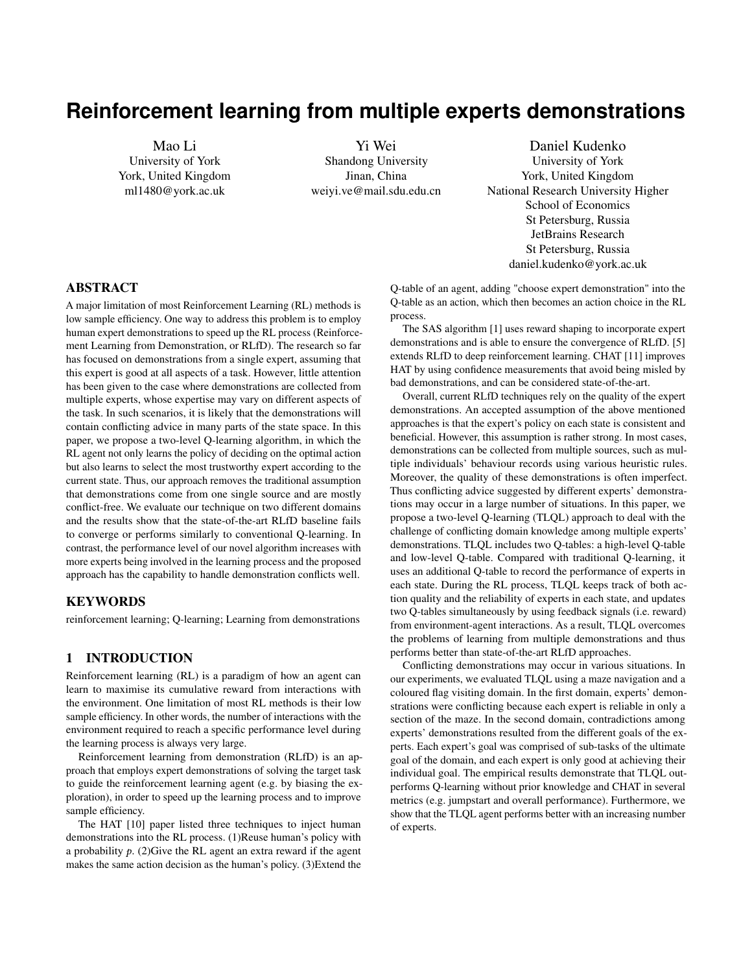<span id="page-2-0"></span>

Figure 1: The structure of 2-level Q-learning

applies Q-learning to expert selection and learns a policy of assigning credit to experts. Combining both Q-learning of experts and Q-learning of actions simultaneously, the agent has the capability to effectively deal with conflicts and improve the sample efficiency of Q-learning even where demonstrations come from multiple conflicting sources.

# 3.2 Two-level structure of reinforcement learning

Figure [1](#page-2-0) shows the structure of the proposed novel algorithm: twolevel Q-learning (TLQL). This algorithm employs a low-level Qtable and a high-level Q-table. The high-level Q-table is used to store the value of <sup>h</sup>state; experti, representing the trust the RL agent has in the given expert, in the given state. The low-level Q-table is the same as in regular Q-learning, recording the Q-value of state-action pairs.

In the process of agent-environment interaction, the agent firstly observes the state of the environment and then selects an expert by an  $\epsilon$ -greedy policy according to the high-level Q-table (the RL agent itself is also represented as an expert in this Q-table). Afterwards, it executes the action that the selected expert suggests, and finally receives the reward and next state feedback from the environment. The sample of the new algorithm is  $\ln s$ ;  $e; a; r; s^0$ , where e is the selected expert and s, a, r, and s<sup>0</sup> are same as in reqular O-learning. selected expert and s,  $a$ ,  $r$ , and  $s^0$ , are same as in regular Q-learning,<br>denoting current state, action, reward and the next state, respectively denoting current state, action, reward and the next state, respectively.

#### 3.3 Synchronised Q-table updating

The TLQL algorithm updates information by exploring both experts and actions with an experience sample hs;  $e_i$ ,  $a_i$ ,  $r$ ,  $s^0$ . Firstly, the algorithm updates the low-level Q-value by hs;  $a; r; s^0$  in the same way as regular Q-learning does.

In order to share information between the high-level Q-table and the low-level Q-table, as well as make full use of the information of every sample, it is also necessary to update the low-level Q-table in addition to the high-level Q-table with the sample hs;  $e = E$ ;  $a; r; s^0$ . After updating the low-level Q-table, the value of the RL agent highQ<sup>1</sup>s; RL<sup>o</sup> and highQ<sup>1</sup>s; e<sub>i</sub><sup>o</sup> : e<sub>i</sub><sup>1</sup>s<sup>o</sup> = a is set as the Q-value of its policy max  $lowQ^1s$ ;  $a^0$ . Thus the high-Q value of the RL synchronises with  $\max_{a} lowQ^1s$ ;  $a^0$ .

## 3.4 Pulling it all together

Algorithm 1 shows the pseudo code of TLQL, indicating how all components of figure 1 work on an algorithmic scale.

## 4 EXPERIMENTS

In this section, we present results of TLQL proposed in two domains: maze navigation and coloured flags visiting. To demonstrate that TLQL can significantly improve reinforcement learning by utilising demonstrations from multiple conflicting sources, we define several domain experts with different expertise in each domain.

In the domain of maze navigation, the maze is divided into three non-overlapping regions. Each expert is good at moving in a specific region and has no prior knowledge of other regions (note that this fact is not known to the experts and to the TLQL algorithm). In the domain of coloured flags visiting, the learning task and demonstration is more complicated. A training agent learns to finish a composite task in a grid world. Each expert is skilled in one sub-task and all sub-tasks have the same state space. Because each expert only concerns on its individual target, experts may make different decisions in a state. Thus many conflicted but local-optimal demonstrations will be recorded.

Unlike hierarchical RL, the partition of the domain is used to simulate the experts' different skills, the agent does not know the partition information in advance. The agent learns the strengths of each expert in high-level Q-learning.

In our experiments, we compared TLQL with two baselines: traditional reinforcement learning (RL) and confidence-based humanagent transfer (CHAT)[\[11\]](#page-5-3). The former one uses Q-learning approach without any prior knowledge. CHAT is the state-of-the-art approach of improving reinforcement learning from demonstration. As CHAT does not consider conflicting demonstrations caused by multiple domain knowledge sources, we adopt weighted random policy to make choices for CHAT when a contradiction occurs.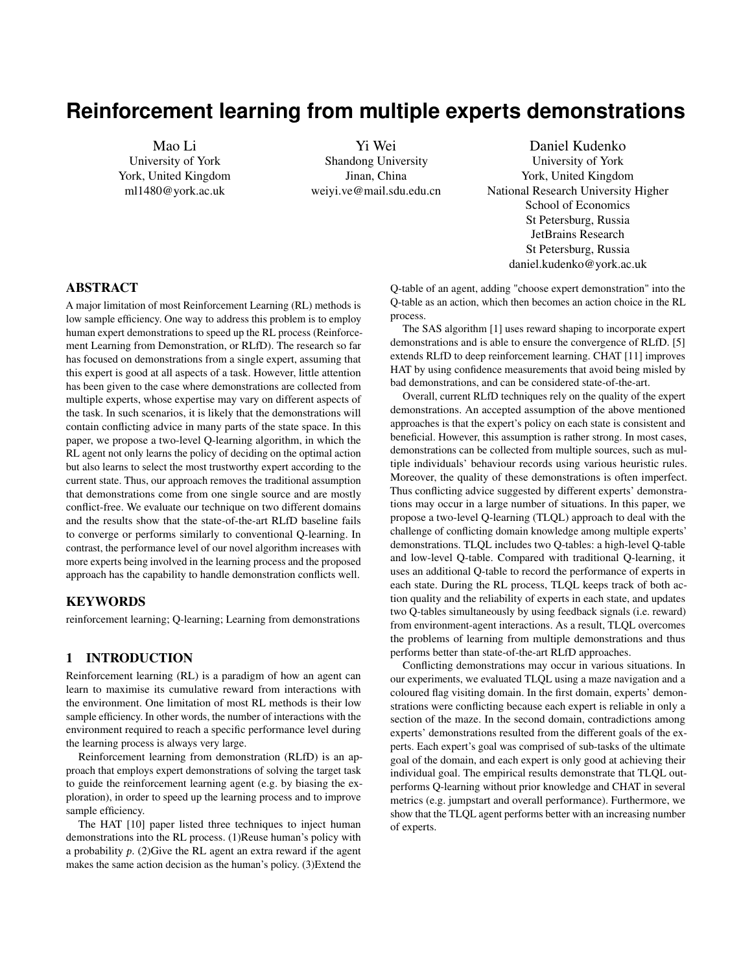<span id="page-3-0"></span>

Figure 2: Maze with three areas. The initial state is marked 'S' in area 1 and the goal state is marked as 'G'in area 3. The goal of agent is to move from 'S' to 'G' as quickly as possible. Black grids are walls that the agent cannot go through.

Specifically, when multiple experts made different decisions in a state, each action is given a weight based on how many experts suggest this action. Then an action is chosen randomly based on these weight values: actions with higher weights will be chosen with higher probability.

All reported results in our experiments are averaged over 100 trials. All result figures display a 99% confidence interval to show statistical significance.

## 4.1 Maze navigation

The first experiment is with a maze environment as shown in Figure [2.](#page-3-0) The maze consists of 30\*10 states. In each state, the agent has four available actions: up, down, left and right. It can move to one of the four directions as long as there is no obstacle in that particular direction. Furthermore, there is a probability of 0.1 that the agent fails to move toward its desired direction. The agent's goal is to reach the upper right corner of the maze as soon as possible starting from the bottom left corner. The immediate reward for the agent is 0, unless the agent arrives at the goal state, where it is  $+1$ . Each episode starts from the initial state S and ends with the goal state G. The parameter settings of Q-learning are the same for all approaches: learning rate  $\alpha$ =0.01, discount factor  $\gamma$ =0.99,  $\epsilon$ -greedy is adopted as the exploration strategy, where  $\epsilon$ =0.1.

The demonstrations are collected from multiple experts. In this experiment, there are three experts E1, E2 and E3, each claiming that they have enough experience to complete the maze. As figure 2 shows, the maze has been divided into 3 areas. Each expert is only a master in one are of the maze. However, the RL agent does not know this in advance. We assume that E1, E2 and E3 know the optimal policies of area 1, area 2 and area 3 respectively. They can give optimal actions as the demonstration with a probability of 0.9 in their corresponding areas. Furthermore, because each expert knows nothing about the maze except their area of expertise, they move randomly in the other two areas. From the perspective of the learning agent, the experts' ability is unknown. Besides, the learning agent does not know the confidence of experts' demonstrations. When conflicting actions are suggested by different experts, the learning agent is unable to know whose demonstration is right, and learn it during the RL process.

For demonstration data collection, we generated 20 full demonstrations from each expert via behaviour simulations, and removed

<span id="page-3-1"></span>

Figure 3: Performance comparison of TLQL and two baselines in the domain of maze navigation. The graph shows the average cumulative reward for an episode and the number of training episodes.

<span id="page-3-2"></span>

Figure 4: Comparison of TLQL with different number of experts (i.e. TLQL with expert 1, TLQL with expert 1 and expert 2, and TLQL with three experts) and RL in the domain of maze navigation

any duplicates. When applying TLQL to the maze navigation game with conflicting demonstrations, the high-level Q-learning is used to teach the agent which expert's demonstration is more reliable in each state. The low-level Q-learning teaches the agent to move in the optimal direction through its interactions with the maze.

Figure [3](#page-3-1) illustrates the learning curves of TLQL and two other baselines: RL without prior knowledge and CHAT. TLQL and CHAT use demonstrations from three experts. Figure 3 shows the changes of cumulative reward. The figures clearly show that TLQL significantly outperforms RL and CHAT from several perspectives. Jumpstart is used to measure the average initial performance of the learning agent. A higher jumpstart performance means that the learning agent can benefit more from its prior knowledge in early stages of the learning. As TLQL can make good use of conflicting demonstrations to train the agent, its jumpstart performance is significantly better than the baselines. The overall performance is another metric which is measured by the area under the cumulative reward curve. Figure [3](#page-3-1) indicates that no matter how many demonstrators are involved in the model, TLQL always performs better than RL and CHAT. In addition, as the agent trained by TLQL can achieve a relatively good performance very quickly, its asymptotic performance is superior to RL and CHAT.